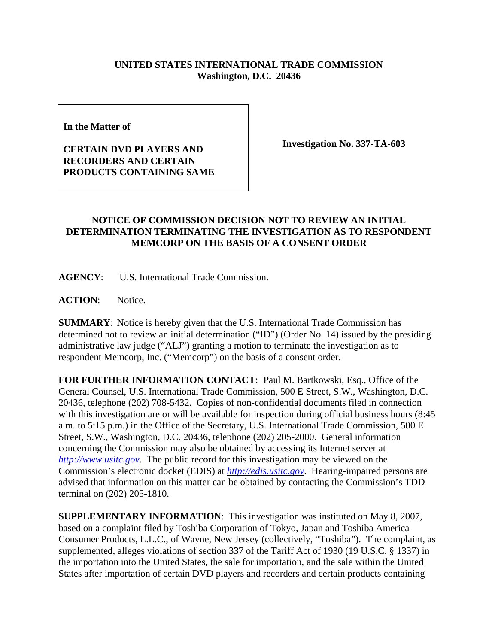## **UNITED STATES INTERNATIONAL TRADE COMMISSION Washington, D.C. 20436**

**In the Matter of** 

## **CERTAIN DVD PLAYERS AND RECORDERS AND CERTAIN PRODUCTS CONTAINING SAME**

**Investigation No. 337-TA-603**

## **NOTICE OF COMMISSION DECISION NOT TO REVIEW AN INITIAL DETERMINATION TERMINATING THE INVESTIGATION AS TO RESPONDENT MEMCORP ON THE BASIS OF A CONSENT ORDER**

**AGENCY**: U.S. International Trade Commission.

**ACTION**: Notice.

**SUMMARY**: Notice is hereby given that the U.S. International Trade Commission has determined not to review an initial determination ("ID") (Order No. 14) issued by the presiding administrative law judge ("ALJ") granting a motion to terminate the investigation as to respondent Memcorp, Inc. ("Memcorp") on the basis of a consent order.

**FOR FURTHER INFORMATION CONTACT**: Paul M. Bartkowski, Esq., Office of the General Counsel, U.S. International Trade Commission, 500 E Street, S.W., Washington, D.C. 20436, telephone (202) 708-5432. Copies of non-confidential documents filed in connection with this investigation are or will be available for inspection during official business hours (8:45 a.m. to 5:15 p.m.) in the Office of the Secretary, U.S. International Trade Commission, 500 E Street, S.W., Washington, D.C. 20436, telephone (202) 205-2000. General information concerning the Commission may also be obtained by accessing its Internet server at *http://www.usitc.gov*. The public record for this investigation may be viewed on the Commission's electronic docket (EDIS) at *http://edis.usitc.gov*. Hearing-impaired persons are advised that information on this matter can be obtained by contacting the Commission's TDD terminal on (202) 205-1810.

**SUPPLEMENTARY INFORMATION**: This investigation was instituted on May 8, 2007, based on a complaint filed by Toshiba Corporation of Tokyo, Japan and Toshiba America Consumer Products, L.L.C., of Wayne, New Jersey (collectively, "Toshiba"). The complaint, as supplemented, alleges violations of section 337 of the Tariff Act of 1930 (19 U.S.C. § 1337) in the importation into the United States, the sale for importation, and the sale within the United States after importation of certain DVD players and recorders and certain products containing